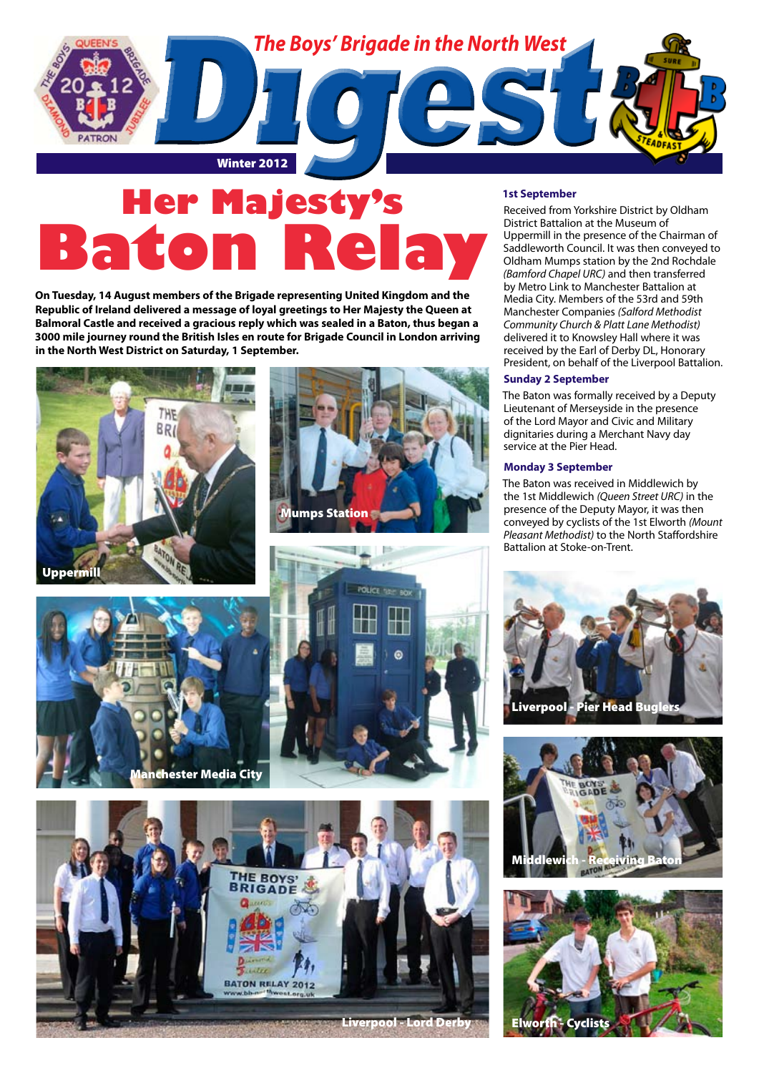

# **Her Majesty's Bato**

**On Tuesday, 14 August members of the Brigade representing United Kingdom and the Republic of Ireland delivered a message of loyal greetings to Her Majesty the Queen at Balmoral Castle and received a gracious reply which was sealed in a Baton, thus began a 3000 mile journey round the British Isles en route for Brigade Council in London arriving in the North West District on Saturday, 1 September.**

lumps Station







#### **1st September**

Received from Yorkshire District by Oldham District Battalion at the Museum of Uppermill in the presence of the Chairman of Saddleworth Council. It was then conveyed to Oldham Mumps station by the 2nd Rochdale *(Bamford Chapel URC)* and then transferred by Metro Link to Manchester Battalion at Media City. Members of the 53rd and 59th Manchester Companies *(Salford Methodist Community Church & Platt Lane Methodist)* delivered it to Knowsley Hall where it was received by the Earl of Derby DL, Honorary President, on behalf of the Liverpool Battalion.

#### **Sunday 2 September**

The Baton was formally received by a Deputy Lieutenant of Merseyside in the presence of the Lord Mayor and Civic and Military dignitaries during a Merchant Navy day service at the Pier Head.

#### **Monday 3 September**

The Baton was received in Middlewich by the 1st Middlewich *(Queen Street URC)* in the presence of the Deputy Mayor, it was then conveyed by cyclists of the 1st Elworth *(Mount Pleasant Methodist)* to the North Staffordshire Battalion at Stoke-on-Trent.





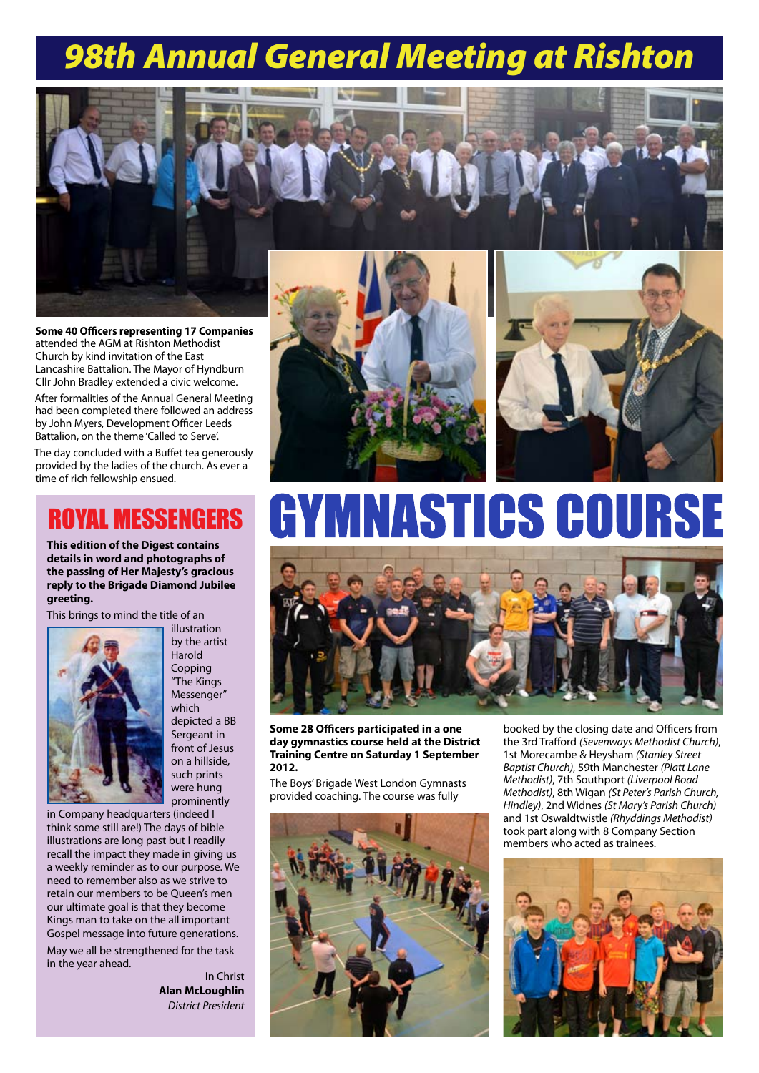# *98th Annual General Meeting at Rishton*



**Some 40 Officers representing 17 Companies** attended the AGM at Rishton Methodist Church by kind invitation of the East Lancashire Battalion. The Mayor of Hyndburn Cllr John Bradley extended a civic welcome.

After formalities of the Annual General Meeting had been completed there followed an address by John Myers, Development Officer Leeds Battalion, on the theme 'Called to Serve'.

The day concluded with a Buffet tea generously provided by the ladies of the church. As ever a time of rich fellowship ensued.

### ROYAL MESSENGERS

**This edition of the Digest contains details in word and photographs of the passing of Her Majesty's gracious reply to the Brigade Diamond Jubilee greeting.** 

This brings to mind the title of an



illustration by the artist Harold Copping "The Kings Messenger" which depicted a BB Sergeant in front of Jesus on a hillside, such prints were hung prominently

in Company headquarters (indeed I think some still are!) The days of bible illustrations are long past but I readily recall the impact they made in giving us a weekly reminder as to our purpose. We need to remember also as we strive to retain our members to be Queen's men our ultimate goal is that they become Kings man to take on the all important Gospel message into future generations.

May we all be strengthened for the task in the year ahead.

In Christ **Alan McLoughlin** *District President*





# **MNASTICS COURSE**



**Some 28 Officers participated in a one day gymnastics course held at the District Training Centre on Saturday 1 September 2012.** 

The Boys' Brigade West London Gymnasts provided coaching. The course was fully



booked by the closing date and Officers from the 3rd Trafford *(Sevenways Methodist Church)*, 1st Morecambe & Heysham *(Stanley Street Baptist Church)*, 59th Manchester *(Platt Lane Methodist)*, 7th Southport *(Liverpool Road Methodist)*, 8th Wigan *(St Peter's Parish Church, Hindley)*, 2nd Widnes *(St Mary's Parish Church)* and 1st Oswaldtwistle *(Rhyddings Methodist)* took part along with 8 Company Section members who acted as trainees.

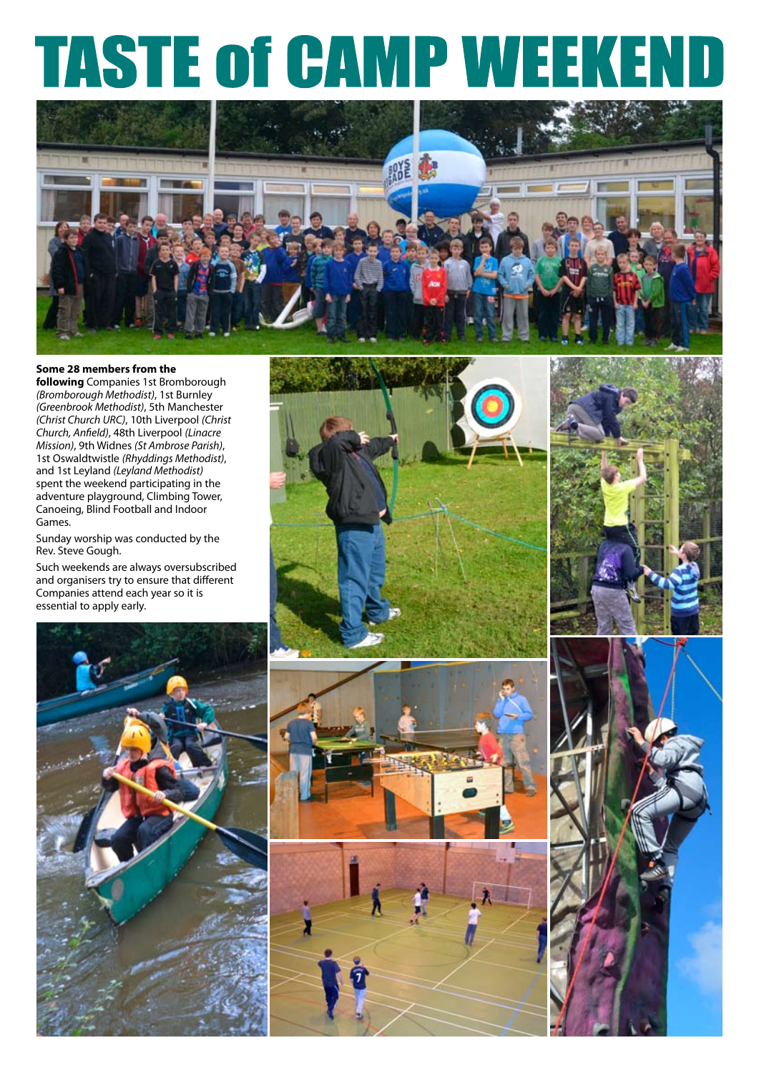# **TASTE of CAMP WE**  $\begin{array}{c} \hline \end{array}$



#### **Some 28 members from the**

**following** Companies 1st Bromborough *(Bromborough Methodist)*, 1st Burnley *(Greenbrook Methodist)*, 5th Manchester *(Christ Church URC)*, 10th Liverpool *(Christ Church, Anfield)*, 48th Liverpool *(Linacre Mission)*, 9th Widnes *(St Ambrose Parish)*, 1st Oswaldtwistle *(Rhyddings Methodist)*, and 1st Leyland *(Leyland Methodist)* spent the weekend participating in the adventure playground, Climbing Tower, Canoeing, Blind Football and Indoor Games.

Sunday worship was conducted by the Rev. Steve Gough.

Such weekends are always oversubscribed and organisers try to ensure that different Companies attend each year so it is essential to apply early.